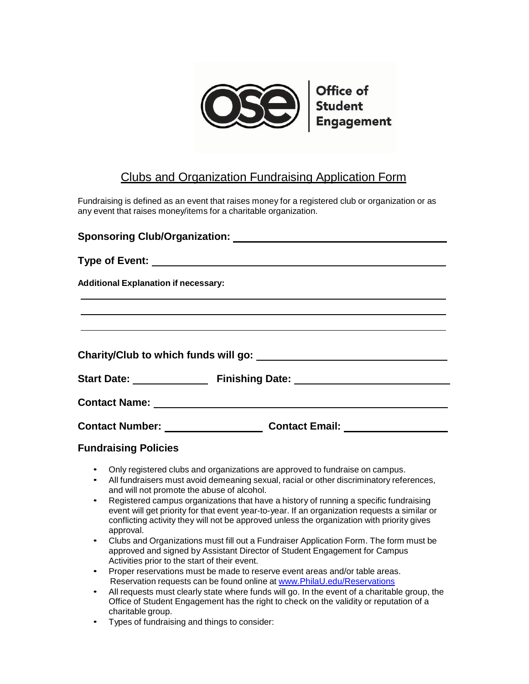

## Clubs and Organization Fundraising Application Form

Fundraising is defined as an event that raises money for a registered club or organization or as any event that raises money/items for a charitable organization.

| <b>Additional Explanation if necessary:</b> |                                                                                  |  |  |  |
|---------------------------------------------|----------------------------------------------------------------------------------|--|--|--|
|                                             |                                                                                  |  |  |  |
|                                             |                                                                                  |  |  |  |
|                                             |                                                                                  |  |  |  |
|                                             |                                                                                  |  |  |  |
|                                             |                                                                                  |  |  |  |
|                                             | Contact Number: _____________________________Contact Email: ____________________ |  |  |  |
|                                             |                                                                                  |  |  |  |

| <b>Fundraising Policies</b> |  |
|-----------------------------|--|
|-----------------------------|--|

- Only registered clubs and organizations are approved to fundraise on campus.
- All fundraisers must avoid demeaning sexual, racial or other discriminatory references, and will not promote the abuse of alcohol.
- Registered campus organizations that have a history of running a specific fundraising event will get priority for that event year-to-year. If an organization requests a similar or conflicting activity they will not be approved unless the organization with priority gives approval.
- Clubs and Organizations must fill out a Fundraiser Application Form. The form must be approved and signed by Assistant Director of Student Engagement for Campus Activities prior to the start of their event.
- Proper reservations must be made to reserve event areas and/or table areas. Reservation requests can be found online at [www.PhilaU.edu/Reservations](/Reservations)
- All requests must clearly state where funds will go. In the event of a charitable group, the Office of Student Engagement has the right to check on the validity or reputation of a charitable group.
- Types of fundraising and things to consider: